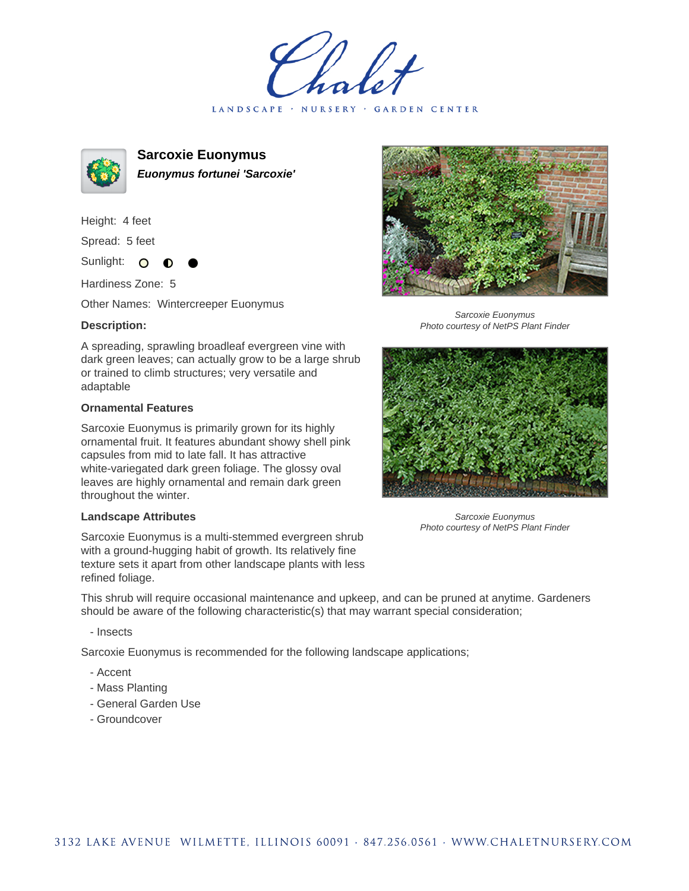LANDSCAPE · NURSERY · GARDEN CENTER



**Sarcoxie Euonymus Euonymus fortunei 'Sarcoxie'**

Height: 4 feet

Spread: 5 feet

Sunlight: O

Hardiness Zone: 5

Other Names: Wintercreeper Euonymus

## **Description:**

A spreading, sprawling broadleaf evergreen vine with dark green leaves; can actually grow to be a large shrub or trained to climb structures; very versatile and adaptable

## **Ornamental Features**

Sarcoxie Euonymus is primarily grown for its highly ornamental fruit. It features abundant showy shell pink capsules from mid to late fall. It has attractive white-variegated dark green foliage. The glossy oval leaves are highly ornamental and remain dark green throughout the winter.

## **Landscape Attributes**

Sarcoxie Euonymus is a multi-stemmed evergreen shrub with a ground-hugging habit of growth. Its relatively fine texture sets it apart from other landscape plants with less refined foliage.

This shrub will require occasional maintenance and upkeep, and can be pruned at anytime. Gardeners should be aware of the following characteristic(s) that may warrant special consideration;

- Insects

Sarcoxie Euonymus is recommended for the following landscape applications;

- Accent
- Mass Planting
- General Garden Use
- Groundcover



Sarcoxie Euonymus Photo courtesy of NetPS Plant Finder



Sarcoxie Euonymus Photo courtesy of NetPS Plant Finder